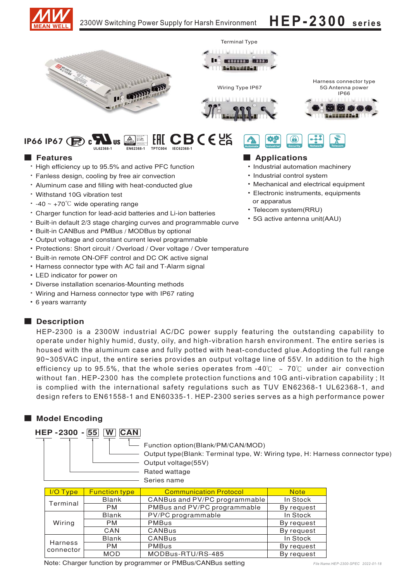



## Terminal Type



Wiring Type IP67



■ **Applications** 

or apparatus

• Industrial automation machinery

Mechanical and electrical equipment Electronic instruments, equipments

• Industrial control system

Telecom system(RRU) • 5G active antenna unit(AAU)

Harness connector type 5G Antenna power IP66



FHICBCE HS  $\overline{\mathsf{u}}$ s  $\overline{\mathbb{A}}$ Bauari gepruf<br>Sicherheit<br>Begelmäßige<br>Prufickliern<br>Dierwach org **IP66 IP67 UL62368-1 EN62368-1 TPTC004 IEC62368-1**

## **E** Features

- High efficiency up to 95.5% and active PFC function
- · Fanless design, cooling by free air convection
- Aluminum case and filling with heat-conducted glue
- Withstand 10G vibration test
- $\cdot$  -40 ~ +70°C wide operating range
- Charger function for lead-acid batteries and Li-ion batteries
- Built-in default 2/3 stage charging curves and programmable curve
- Built-in CANBus and PMBus / MODBus by optional
- Output voltage and constant current level programmable
- Protections: Short circuit / Overload / Over voltage / Over temperature
- Built-in remote ON-OFF control and DC OK active signal
- Harness connector type with AC fail and T-Alarm signal
- LED indicator for power on
- Diverse installation scenarios-Mounting methods
- Wiring and Harness connector type with IP67 rating
- 6 years warranty

# ■ **Description**

HEP-2300 is a 2300W industrial AC/DC power supply featuring the outstanding capability to operate under highly humid, dusty, oily, and high-vibration harsh environment. The entire series is housed with the aluminum case and fully potted with heat-conducted glue.Adopting the full range 90~305VAC input, the entire series provides an output voltage line of 55V. In addition to the high efficiency up to 95.5%, that the whole series operates from -40 $\degree$  ~ 70 $\degree$  under air convection without fan, HEP-2300 has the complete protection functions and 10G anti-vibration capability; It is complied with the international safety regulations such as TUV EN62368-1 UL62368-1, and design refers to EN61558-1 and EN60335-1. HEP-2300 series serves as a high performance power

# ■ **Model Encoding**

| $HEP - 2300 - 55$<br>W<br> CAM                                            |                                                                                                                                                                                                                               |                                                                  |  |
|---------------------------------------------------------------------------|-------------------------------------------------------------------------------------------------------------------------------------------------------------------------------------------------------------------------------|------------------------------------------------------------------|--|
|                                                                           | Function option(Blank/PM/CAN/MOD)<br>Output type(Blank: Terminal type, W: Wiring type, H: Harness connector type)<br>Output voltage(55V)<br>Rated wattage<br>Series name                                                      |                                                                  |  |
| $1/\bigcap_{n=1}^{\infty}$<br><b>The Common State Common State Common</b> | As a contract of the Contract of the Contract of the Contract of the Contract of the Contract of the Contract of the Contract of the Contract of the Contract of the Contract of the Contract of the Contract of the Contract | $\mathbf{A}$ $\mathbf{B}$ $\mathbf{A}$ $\mathbf{B}$ $\mathbf{A}$ |  |

| I/O Type             | <b>Function type</b> | <b>Communication Protocol</b> | <b>Note</b> |
|----------------------|----------------------|-------------------------------|-------------|
| Terminal             | <b>Blank</b>         | CANBus and PV/PC programmable | In Stock    |
|                      | <b>PM</b>            | PMBus and PV/PC programmable  | By request  |
|                      | <b>Blank</b>         | PV/PC programmable            | In Stock    |
| Wiring               | <b>PM</b>            | PMBus                         | By request  |
|                      | CAN                  | <b>CANBus</b>                 | By request  |
| Harness<br>connector | <b>Blank</b>         | <b>CANBus</b>                 | In Stock    |
|                      | <b>PM</b>            | PMBus                         | By request  |
|                      | <b>MOD</b>           | MODBus-RTU/RS-485             | By request  |

Note: Charger function by programmer or PMBus/CANBus setting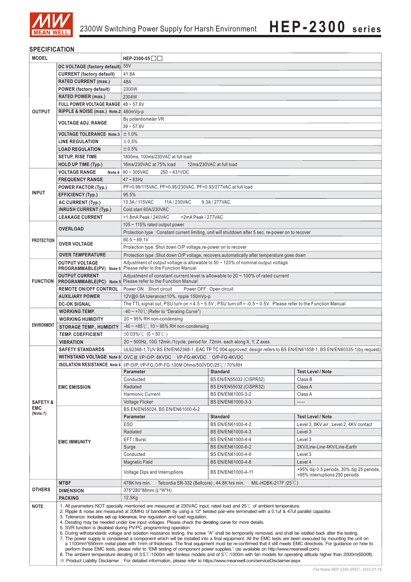

# **SPECIFICATION**

| <b>MODEL</b>                      |                                                                                                                                                           | HEP-2300-55 $\Box$                                                                                                                                                                                                             |                                                                                                                                                                                                                                                                                                                |                                                                                                                       |  |  |
|-----------------------------------|-----------------------------------------------------------------------------------------------------------------------------------------------------------|--------------------------------------------------------------------------------------------------------------------------------------------------------------------------------------------------------------------------------|----------------------------------------------------------------------------------------------------------------------------------------------------------------------------------------------------------------------------------------------------------------------------------------------------------------|-----------------------------------------------------------------------------------------------------------------------|--|--|
|                                   | DC VOLTAGE (factory default) 55V                                                                                                                          |                                                                                                                                                                                                                                |                                                                                                                                                                                                                                                                                                                |                                                                                                                       |  |  |
|                                   | <b>CURRENT</b> (factory default)                                                                                                                          | 41.8A                                                                                                                                                                                                                          |                                                                                                                                                                                                                                                                                                                |                                                                                                                       |  |  |
|                                   | <b>RATED CURRENT (max.)</b>                                                                                                                               | 48A                                                                                                                                                                                                                            |                                                                                                                                                                                                                                                                                                                |                                                                                                                       |  |  |
|                                   | <b>POWER (factory default)</b>                                                                                                                            | 2300W                                                                                                                                                                                                                          |                                                                                                                                                                                                                                                                                                                |                                                                                                                       |  |  |
|                                   | <b>RATED POWER (max.)</b>                                                                                                                                 | 2304W                                                                                                                                                                                                                          |                                                                                                                                                                                                                                                                                                                |                                                                                                                       |  |  |
|                                   | FULL POWER VOLTAGE RANGE 48 ~ 57.6V                                                                                                                       |                                                                                                                                                                                                                                |                                                                                                                                                                                                                                                                                                                |                                                                                                                       |  |  |
| <b>OUTPUT</b>                     | RIPPLE & NOISE (max.) Note.2 480mVp-p                                                                                                                     |                                                                                                                                                                                                                                |                                                                                                                                                                                                                                                                                                                |                                                                                                                       |  |  |
|                                   | <b>VOLTAGE ADJ. RANGE</b>                                                                                                                                 | By potentiometer VR                                                                                                                                                                                                            |                                                                                                                                                                                                                                                                                                                |                                                                                                                       |  |  |
|                                   |                                                                                                                                                           | $39 - 57.6V$                                                                                                                                                                                                                   |                                                                                                                                                                                                                                                                                                                |                                                                                                                       |  |  |
|                                   | VOLTAGE TOLERANCE Note.3 $\pm$ 1.0%                                                                                                                       |                                                                                                                                                                                                                                |                                                                                                                                                                                                                                                                                                                |                                                                                                                       |  |  |
|                                   | <b>LINE REGULATION</b>                                                                                                                                    | ±0.5%                                                                                                                                                                                                                          |                                                                                                                                                                                                                                                                                                                |                                                                                                                       |  |  |
|                                   | <b>LOAD REGULATION</b>                                                                                                                                    | ±0.5%                                                                                                                                                                                                                          |                                                                                                                                                                                                                                                                                                                |                                                                                                                       |  |  |
|                                   | <b>SETUP, RISE TIME</b>                                                                                                                                   | 1800ms, 100ms/230VAC at full load                                                                                                                                                                                              |                                                                                                                                                                                                                                                                                                                |                                                                                                                       |  |  |
|                                   | <b>HOLD UP TIME (Typ.)</b>                                                                                                                                | 12ms/230VAC at full load<br>16ms/230VAC at 75% load                                                                                                                                                                            |                                                                                                                                                                                                                                                                                                                |                                                                                                                       |  |  |
|                                   | <b>VOLTAGE RANGE</b>                                                                                                                                      | Note.4   $90 \sim 305$ VAC<br>$250 - 431VDC$                                                                                                                                                                                   |                                                                                                                                                                                                                                                                                                                |                                                                                                                       |  |  |
|                                   | <b>FREQUENCY RANGE</b>                                                                                                                                    | $47 - 63$ Hz                                                                                                                                                                                                                   |                                                                                                                                                                                                                                                                                                                |                                                                                                                       |  |  |
|                                   | <b>POWER FACTOR (Typ.)</b>                                                                                                                                | PF>0.99/115VAC, PF>0.95/230VAC, PF>0.93/277VAC at full load                                                                                                                                                                    |                                                                                                                                                                                                                                                                                                                |                                                                                                                       |  |  |
| <b>INPUT</b>                      | <b>EFFICIENCY (Typ.)</b>                                                                                                                                  | 95.5%                                                                                                                                                                                                                          |                                                                                                                                                                                                                                                                                                                |                                                                                                                       |  |  |
|                                   | <b>AC CURRENT (Typ.)</b>                                                                                                                                  | 13.3A / 115VAC<br>11A/230VAC                                                                                                                                                                                                   | 9.3A/277VAC                                                                                                                                                                                                                                                                                                    |                                                                                                                       |  |  |
|                                   | <b>INRUSH CURRENT (Typ.)</b>                                                                                                                              | Cold start 60A/230VAC                                                                                                                                                                                                          |                                                                                                                                                                                                                                                                                                                |                                                                                                                       |  |  |
|                                   | <b>LEAKAGE CURRENT</b>                                                                                                                                    | <1.8mA Peak / 240VAC<br><2mA Peak / 277VAC                                                                                                                                                                                     |                                                                                                                                                                                                                                                                                                                |                                                                                                                       |  |  |
|                                   | <b>OVERLOAD</b>                                                                                                                                           | $105 \sim 115\%$ rated output power                                                                                                                                                                                            |                                                                                                                                                                                                                                                                                                                |                                                                                                                       |  |  |
|                                   |                                                                                                                                                           |                                                                                                                                                                                                                                | Protection type: Constant current limiting, unit will shutdown after 5 sec. re-power on to recover                                                                                                                                                                                                             |                                                                                                                       |  |  |
| <b>PROTECTION</b>                 | <b>OVER VOLTAGE</b>                                                                                                                                       | $60.5 - 69.1V$                                                                                                                                                                                                                 |                                                                                                                                                                                                                                                                                                                |                                                                                                                       |  |  |
|                                   |                                                                                                                                                           | Protection type : Shut down O/P voltage, re-power on to recover                                                                                                                                                                |                                                                                                                                                                                                                                                                                                                |                                                                                                                       |  |  |
|                                   | <b>OVER TEMPERATURE</b>                                                                                                                                   |                                                                                                                                                                                                                                | Protection type : Shut down O/P voltage, recovers automatically after temperature goes down                                                                                                                                                                                                                    |                                                                                                                       |  |  |
|                                   | <b>OUTPUT VOLTAGE</b>                                                                                                                                     | PROGRAMMABLE(PV) Note 5 Please refer to the Function Manual                                                                                                                                                                    | Adjustment of output voltage is allowable to $50 \sim 120\%$ of nominal output voltage                                                                                                                                                                                                                         |                                                                                                                       |  |  |
|                                   | <b>OUTPUT CURRENT</b>                                                                                                                                     |                                                                                                                                                                                                                                | Adjustment of constant current level is allowable to $20 \sim 100\%$ of rated current                                                                                                                                                                                                                          |                                                                                                                       |  |  |
| <b>FUNCTION</b>                   |                                                                                                                                                           | PROGRAMMABLE(PC) Note 5 Please refer to the Function Manual                                                                                                                                                                    |                                                                                                                                                                                                                                                                                                                |                                                                                                                       |  |  |
|                                   | <b>REMOTE ON/OFF CONTROL</b>                                                                                                                              | Power ON: Short circuit                                                                                                                                                                                                        | Power OFF : Open circuit                                                                                                                                                                                                                                                                                       |                                                                                                                       |  |  |
|                                   | <b>AUXILIARY POWER</b>                                                                                                                                    | 12V@0.5A tolerance±10%, ripple 150mVp-p                                                                                                                                                                                        |                                                                                                                                                                                                                                                                                                                |                                                                                                                       |  |  |
|                                   | <b>DC-OK SIGNAL</b>                                                                                                                                       |                                                                                                                                                                                                                                | The TTL signal out, PSU turn on = $4.5 \times 5.5V$ ; PSU turn off = $-0.5 \times 0.5V$ . Please refer to the Function Manual                                                                                                                                                                                  |                                                                                                                       |  |  |
|                                   | <b>WORKING TEMP.</b>                                                                                                                                      | -40 ~ +70°C (Refer to "Derating Curve")                                                                                                                                                                                        |                                                                                                                                                                                                                                                                                                                |                                                                                                                       |  |  |
|                                   | <b>WORKING HUMIDITY</b>                                                                                                                                   | $20 \sim 95\%$ RH non-condensing                                                                                                                                                                                               |                                                                                                                                                                                                                                                                                                                |                                                                                                                       |  |  |
| <b>ENVIRONMENT</b>                | <b>STORAGE TEMP., HUMIDITY</b>                                                                                                                            | -40 ~ +85°C, 10 ~ 95% RH non-condensing                                                                                                                                                                                        |                                                                                                                                                                                                                                                                                                                |                                                                                                                       |  |  |
|                                   | <b>TEMP. COEFFICIENT</b>                                                                                                                                  | $\pm 0.03\%$ (0 ~ 50°C)                                                                                                                                                                                                        |                                                                                                                                                                                                                                                                                                                |                                                                                                                       |  |  |
|                                   | <b>VIBRATION</b>                                                                                                                                          | $20 \sim 500$ Hz, 10G 12min./1cycle, period for 72min. each along X, Y, Z axes                                                                                                                                                 |                                                                                                                                                                                                                                                                                                                |                                                                                                                       |  |  |
|                                   | <b>SAFETY STANDARDS</b>                                                                                                                                   |                                                                                                                                                                                                                                |                                                                                                                                                                                                                                                                                                                | UL62368-1, TUV BS EN/EN62368-1, EAC TP TC 004 approved; design refers to BS EN/EN61558-1, BS EN/EN60335-1(by request) |  |  |
|                                   |                                                                                                                                                           | WITHSTAND VOLTAGE Note 6 OVCIII I/P-O/P: 6KVDC I/P-FG:4KVDC O/P-FG:4KVDC                                                                                                                                                       |                                                                                                                                                                                                                                                                                                                |                                                                                                                       |  |  |
|                                   |                                                                                                                                                           | ISOLATION RESISTANCE Note 6 I/P-O/P, I/P-FG, O/P-FG: 100M Ohms/500VDC/25°C/70%RH                                                                                                                                               |                                                                                                                                                                                                                                                                                                                |                                                                                                                       |  |  |
|                                   |                                                                                                                                                           | <b>Parameter</b>                                                                                                                                                                                                               | <b>Standard</b>                                                                                                                                                                                                                                                                                                | <b>Test Level / Note</b>                                                                                              |  |  |
|                                   |                                                                                                                                                           | Conducted                                                                                                                                                                                                                      | BS EN/EN55032 (CISPR32)                                                                                                                                                                                                                                                                                        | Class B                                                                                                               |  |  |
|                                   | <b>EMC EMISSION</b>                                                                                                                                       | Radiated                                                                                                                                                                                                                       | <b>BS EN/EN55032 (CISPR32)</b>                                                                                                                                                                                                                                                                                 | Class A                                                                                                               |  |  |
|                                   |                                                                                                                                                           | Harmonic Current                                                                                                                                                                                                               | BS EN/EN61000-3-2                                                                                                                                                                                                                                                                                              | Class A                                                                                                               |  |  |
| <b>SAFETY &amp;</b><br><b>EMC</b> |                                                                                                                                                           | <b>Voltage Flicker</b><br>BS EN/EN55024, BS EN/EN61000-6-2                                                                                                                                                                     | BS EN/EN61000-3-3                                                                                                                                                                                                                                                                                              | -----                                                                                                                 |  |  |
| (Note.7)                          |                                                                                                                                                           | <b>Parameter</b>                                                                                                                                                                                                               | <b>Standard</b>                                                                                                                                                                                                                                                                                                | <b>Test Level / Note</b>                                                                                              |  |  |
|                                   |                                                                                                                                                           | <b>ESD</b>                                                                                                                                                                                                                     | BS EN/EN61000-4-2                                                                                                                                                                                                                                                                                              | Level 3, 8KV air ; Level 2, 4KV contact                                                                               |  |  |
|                                   |                                                                                                                                                           | Radiated                                                                                                                                                                                                                       | BS EN/EN61000-4-3                                                                                                                                                                                                                                                                                              | Level 3                                                                                                               |  |  |
|                                   |                                                                                                                                                           | EFT / Burst                                                                                                                                                                                                                    | BS EN/EN61000-4-4                                                                                                                                                                                                                                                                                              | Level 3                                                                                                               |  |  |
|                                   | <b>EMC IMMUNITY</b>                                                                                                                                       | Surge                                                                                                                                                                                                                          | BS EN/EN61000-6-2                                                                                                                                                                                                                                                                                              | 2KV/Line-Line 4KV/Line-Earth                                                                                          |  |  |
|                                   |                                                                                                                                                           | Conducted                                                                                                                                                                                                                      | BS EN/EN61000-4-6                                                                                                                                                                                                                                                                                              | Level 3                                                                                                               |  |  |
|                                   |                                                                                                                                                           | <b>Magnetic Field</b>                                                                                                                                                                                                          | BS EN/EN61000-4-8                                                                                                                                                                                                                                                                                              | Level 4                                                                                                               |  |  |
|                                   |                                                                                                                                                           |                                                                                                                                                                                                                                |                                                                                                                                                                                                                                                                                                                | >95% dip 0.5 periods, 30% dip 25 periods,                                                                             |  |  |
|                                   |                                                                                                                                                           | Voltage Dips and Interruptions                                                                                                                                                                                                 | BS EN/EN61000-4-11                                                                                                                                                                                                                                                                                             | >95% interruptions 250 periods                                                                                        |  |  |
|                                   | <b>MTBF</b>                                                                                                                                               | 478K hrs min.<br>Telcordia SR-332 (Bellcore); 44.8K hrs min.                                                                                                                                                                   | MIL-HDBK-217F (25 $\degree$ C)                                                                                                                                                                                                                                                                                 |                                                                                                                       |  |  |
| <b>OTHERS</b>                     | <b>DIMENSION</b>                                                                                                                                          | 375*280*88mm (L*W*H)                                                                                                                                                                                                           |                                                                                                                                                                                                                                                                                                                |                                                                                                                       |  |  |
|                                   | <b>PACKING</b>                                                                                                                                            | 12.5Kg                                                                                                                                                                                                                         |                                                                                                                                                                                                                                                                                                                |                                                                                                                       |  |  |
| <b>NOTE</b>                       |                                                                                                                                                           |                                                                                                                                                                                                                                | 1. All parameters NOT specially mentioned are measured at 230VAC input, rated load and 25°C of ambient temperature.                                                                                                                                                                                            |                                                                                                                       |  |  |
|                                   |                                                                                                                                                           | 3. Tolerance : includes set up tolerance, line regulation and load regulation.                                                                                                                                                 | 2. Ripple & noise are measured at 20MHz of bandwidth by using a 12" twisted pair-wire terminated with a 0.1uf & 47uf parallel capacitor.                                                                                                                                                                       |                                                                                                                       |  |  |
|                                   | 4. Derating may be needed under low input voltages. Please check the derating curve for more details.                                                     |                                                                                                                                                                                                                                |                                                                                                                                                                                                                                                                                                                |                                                                                                                       |  |  |
|                                   |                                                                                                                                                           | 5. SVR function is disabled during PV/PC programming operation.<br>6. During withstandards voltage and isolation resistance testing, the screw "A" shall be temporarily removed, and shall be istalled back after the testing. |                                                                                                                                                                                                                                                                                                                |                                                                                                                       |  |  |
|                                   | 7. The power supply is considered a component which will be installed into a final equipment. All the EMC tests are been executed by mounting the unit on |                                                                                                                                                                                                                                |                                                                                                                                                                                                                                                                                                                |                                                                                                                       |  |  |
|                                   |                                                                                                                                                           |                                                                                                                                                                                                                                | a 1100mm*650mm metal plate with 1mm of thickness. The final equipment must be re-confirmed that it still meets EMC directives. For guidance on how to                                                                                                                                                          |                                                                                                                       |  |  |
|                                   |                                                                                                                                                           |                                                                                                                                                                                                                                | perform these EMC tests, please refer to "EMI testing of component power supplies." (as available on http://www.meanwell.com)<br>8. The ambient temperature derating of $3.5^{\circ}$ C/1000m with fanless models and of $5^{\circ}$ C/1000m with fan models for operating altitude higher than 2000m(6500ft). |                                                                                                                       |  |  |
|                                   |                                                                                                                                                           |                                                                                                                                                                                                                                | X Product Liability Disclaimer: For detailed information, please refer to https://www.meanwell.com/serviceDisclaimer.aspx                                                                                                                                                                                      |                                                                                                                       |  |  |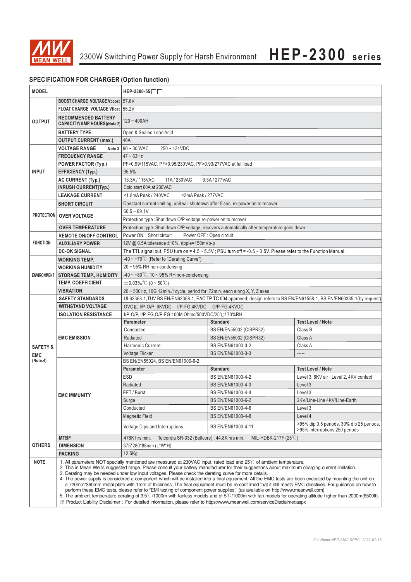

# **SPECIFICATION FOR CHARGER (Option function)**

| <b>MODEL</b>        |                                                           | HEP-2300-55□                                                                                                                                                                                                                                                                                                                                                                                                                                                                                                                                                                                                                                                                                                                                                                                                                                                                                                                                                                                                                                                                                                                      |                                                                              |                                                                                                                       |  |  |
|---------------------|-----------------------------------------------------------|-----------------------------------------------------------------------------------------------------------------------------------------------------------------------------------------------------------------------------------------------------------------------------------------------------------------------------------------------------------------------------------------------------------------------------------------------------------------------------------------------------------------------------------------------------------------------------------------------------------------------------------------------------------------------------------------------------------------------------------------------------------------------------------------------------------------------------------------------------------------------------------------------------------------------------------------------------------------------------------------------------------------------------------------------------------------------------------------------------------------------------------|------------------------------------------------------------------------------|-----------------------------------------------------------------------------------------------------------------------|--|--|
|                     | <b>BOOST CHARGE VOLTAGE Vboost   57.6V</b>                |                                                                                                                                                                                                                                                                                                                                                                                                                                                                                                                                                                                                                                                                                                                                                                                                                                                                                                                                                                                                                                                                                                                                   |                                                                              |                                                                                                                       |  |  |
|                     | FLOAT CHARGE VOLTAGE Vfloat 55.2V                         |                                                                                                                                                                                                                                                                                                                                                                                                                                                                                                                                                                                                                                                                                                                                                                                                                                                                                                                                                                                                                                                                                                                                   |                                                                              |                                                                                                                       |  |  |
| <b>OUTPUT</b>       | <b>RECOMMENDED BATTERY</b><br>CAPACITY(AMP HOURS)(Note 2) | $120 - 400AH$                                                                                                                                                                                                                                                                                                                                                                                                                                                                                                                                                                                                                                                                                                                                                                                                                                                                                                                                                                                                                                                                                                                     |                                                                              |                                                                                                                       |  |  |
|                     | <b>BATTERY TYPE</b>                                       | Open & Sealed Lead Acid                                                                                                                                                                                                                                                                                                                                                                                                                                                                                                                                                                                                                                                                                                                                                                                                                                                                                                                                                                                                                                                                                                           |                                                                              |                                                                                                                       |  |  |
|                     | <b>OUTPUT CURRENT (max.)</b>                              | 40A                                                                                                                                                                                                                                                                                                                                                                                                                                                                                                                                                                                                                                                                                                                                                                                                                                                                                                                                                                                                                                                                                                                               |                                                                              |                                                                                                                       |  |  |
|                     | <b>VOLTAGE RANGE</b>                                      | Note $3   90 \sim 305$ VAC<br>$250 - 431VDC$                                                                                                                                                                                                                                                                                                                                                                                                                                                                                                                                                                                                                                                                                                                                                                                                                                                                                                                                                                                                                                                                                      |                                                                              |                                                                                                                       |  |  |
|                     | <b>FREQUENCY RANGE</b>                                    | $47 - 63$ Hz                                                                                                                                                                                                                                                                                                                                                                                                                                                                                                                                                                                                                                                                                                                                                                                                                                                                                                                                                                                                                                                                                                                      |                                                                              |                                                                                                                       |  |  |
|                     | <b>POWER FACTOR (Typ.)</b>                                | PF>0.99/115VAC, PF>0.95/230VAC, PF>0.93/277VAC at full load                                                                                                                                                                                                                                                                                                                                                                                                                                                                                                                                                                                                                                                                                                                                                                                                                                                                                                                                                                                                                                                                       |                                                                              |                                                                                                                       |  |  |
| <b>INPUT</b>        | <b>EFFICIENCY (Typ.)</b>                                  | 95.5%                                                                                                                                                                                                                                                                                                                                                                                                                                                                                                                                                                                                                                                                                                                                                                                                                                                                                                                                                                                                                                                                                                                             |                                                                              |                                                                                                                       |  |  |
|                     | <b>AC CURRENT (Typ.)</b>                                  | 13.3A / 115VAC<br>11A / 230VAC                                                                                                                                                                                                                                                                                                                                                                                                                                                                                                                                                                                                                                                                                                                                                                                                                                                                                                                                                                                                                                                                                                    | 9.3A/277VAC                                                                  |                                                                                                                       |  |  |
|                     | <b>INRUSH CURRENT(Typ.)</b>                               | Cold start 60A at 230VAC                                                                                                                                                                                                                                                                                                                                                                                                                                                                                                                                                                                                                                                                                                                                                                                                                                                                                                                                                                                                                                                                                                          |                                                                              |                                                                                                                       |  |  |
|                     | <b>LEAKAGE CURRENT</b>                                    | <1.8mA Peak / 240VAC                                                                                                                                                                                                                                                                                                                                                                                                                                                                                                                                                                                                                                                                                                                                                                                                                                                                                                                                                                                                                                                                                                              | <2mA Peak / 277VAC                                                           |                                                                                                                       |  |  |
|                     | <b>SHORT CIRCUIT</b>                                      | Constant current limiting, unit will shutdown after 5 sec, re-power on to recover.                                                                                                                                                                                                                                                                                                                                                                                                                                                                                                                                                                                                                                                                                                                                                                                                                                                                                                                                                                                                                                                |                                                                              |                                                                                                                       |  |  |
|                     | PROTECTION   OVER VOLTAGE                                 | $60.5 - 69.1V$                                                                                                                                                                                                                                                                                                                                                                                                                                                                                                                                                                                                                                                                                                                                                                                                                                                                                                                                                                                                                                                                                                                    |                                                                              |                                                                                                                       |  |  |
|                     |                                                           | Protection type : Shut down O/P voltage, re-power on to recover                                                                                                                                                                                                                                                                                                                                                                                                                                                                                                                                                                                                                                                                                                                                                                                                                                                                                                                                                                                                                                                                   |                                                                              |                                                                                                                       |  |  |
|                     | <b>OVER TEMPERATURE</b>                                   | Protection type : Shut down O/P voltage, recovers automatically after temperature goes down                                                                                                                                                                                                                                                                                                                                                                                                                                                                                                                                                                                                                                                                                                                                                                                                                                                                                                                                                                                                                                       |                                                                              |                                                                                                                       |  |  |
|                     | <b>REMOTE ON/OFF CONTROL</b>                              | Power ON: Short circuit                                                                                                                                                                                                                                                                                                                                                                                                                                                                                                                                                                                                                                                                                                                                                                                                                                                                                                                                                                                                                                                                                                           | Power OFF : Open circuit                                                     |                                                                                                                       |  |  |
| <b>FUNCTION</b>     | <b>AUXILIARY POWER</b>                                    | 12V @ 0.5A tolerance ±10%, ripple=150mVp-p                                                                                                                                                                                                                                                                                                                                                                                                                                                                                                                                                                                                                                                                                                                                                                                                                                                                                                                                                                                                                                                                                        |                                                                              |                                                                                                                       |  |  |
|                     | <b>DC-OK SIGNAL</b>                                       | The TTL signal out, PSU turn on = $4.5 \approx 5.5$ V; PSU turn off = -0.5 $\approx$ 0.5V. Please refer to the Function Manual.                                                                                                                                                                                                                                                                                                                                                                                                                                                                                                                                                                                                                                                                                                                                                                                                                                                                                                                                                                                                   |                                                                              |                                                                                                                       |  |  |
|                     | <b>WORKING TEMP.</b>                                      | -40 $\sim$ +70°C (Refer to "Derating Curve")                                                                                                                                                                                                                                                                                                                                                                                                                                                                                                                                                                                                                                                                                                                                                                                                                                                                                                                                                                                                                                                                                      |                                                                              |                                                                                                                       |  |  |
|                     | <b>WORKING HUMIDITY</b>                                   | 20 ~ 95% RH non-condensing                                                                                                                                                                                                                                                                                                                                                                                                                                                                                                                                                                                                                                                                                                                                                                                                                                                                                                                                                                                                                                                                                                        |                                                                              |                                                                                                                       |  |  |
| <b>ENVIRONMENT</b>  | <b>STORAGE TEMP., HUMIDITY</b>                            | $-40 \sim +80^{\circ}$ C, 10 ~ 95% RH non-condensing                                                                                                                                                                                                                                                                                                                                                                                                                                                                                                                                                                                                                                                                                                                                                                                                                                                                                                                                                                                                                                                                              |                                                                              |                                                                                                                       |  |  |
|                     | <b>TEMP, COEFFICIENT</b>                                  | $\pm$ 0.03%/°C (0 ~ 50°C)                                                                                                                                                                                                                                                                                                                                                                                                                                                                                                                                                                                                                                                                                                                                                                                                                                                                                                                                                                                                                                                                                                         |                                                                              |                                                                                                                       |  |  |
|                     | <b>VIBRATION</b>                                          | 20 ~ 500Hz, 10G 12min./1cycle, period for 72min. each along X, Y, Z axes                                                                                                                                                                                                                                                                                                                                                                                                                                                                                                                                                                                                                                                                                                                                                                                                                                                                                                                                                                                                                                                          |                                                                              |                                                                                                                       |  |  |
|                     | <b>SAFETY STANDARDS</b>                                   |                                                                                                                                                                                                                                                                                                                                                                                                                                                                                                                                                                                                                                                                                                                                                                                                                                                                                                                                                                                                                                                                                                                                   |                                                                              | UL62368-1, TUV BS EN/EN62368-1, EAC TP TC 004 approved; design refers to BS EN/EN61558-1, BS EN/EN60335-1(by request) |  |  |
|                     | <b>WITHSTAND VOLTAGE</b>                                  |                                                                                                                                                                                                                                                                                                                                                                                                                                                                                                                                                                                                                                                                                                                                                                                                                                                                                                                                                                                                                                                                                                                                   | OVCIII I/P-O/P: 6KVDC I/P-FG:4KVDC O/P-FG:4KVDC                              |                                                                                                                       |  |  |
|                     | <b>ISOLATION RESISTANCE</b>                               | I/P-O/P, I/P-FG, O/P-FG:100M Ohms/500VDC/25°C / 70%RH                                                                                                                                                                                                                                                                                                                                                                                                                                                                                                                                                                                                                                                                                                                                                                                                                                                                                                                                                                                                                                                                             |                                                                              |                                                                                                                       |  |  |
|                     |                                                           | <b>Parameter</b>                                                                                                                                                                                                                                                                                                                                                                                                                                                                                                                                                                                                                                                                                                                                                                                                                                                                                                                                                                                                                                                                                                                  | <b>Standard</b>                                                              | <b>Test Level / Note</b>                                                                                              |  |  |
|                     |                                                           | Conducted                                                                                                                                                                                                                                                                                                                                                                                                                                                                                                                                                                                                                                                                                                                                                                                                                                                                                                                                                                                                                                                                                                                         | BS EN/EN55032 (CISPR32)                                                      | Class B                                                                                                               |  |  |
|                     | <b>EMC EMISSION</b>                                       | Radiated                                                                                                                                                                                                                                                                                                                                                                                                                                                                                                                                                                                                                                                                                                                                                                                                                                                                                                                                                                                                                                                                                                                          | BS EN/EN55032 (CISPR32)                                                      | Class A                                                                                                               |  |  |
| <b>SAFETY &amp;</b> |                                                           | <b>Harmonic Current</b>                                                                                                                                                                                                                                                                                                                                                                                                                                                                                                                                                                                                                                                                                                                                                                                                                                                                                                                                                                                                                                                                                                           | BS EN/EN61000-3-2                                                            | Class A                                                                                                               |  |  |
| <b>EMC</b>          |                                                           | <b>Voltage Flicker</b>                                                                                                                                                                                                                                                                                                                                                                                                                                                                                                                                                                                                                                                                                                                                                                                                                                                                                                                                                                                                                                                                                                            | BS EN/EN61000-3-3                                                            | -----                                                                                                                 |  |  |
| (Note.4)            |                                                           | BS EN/EN55024, BS EN/EN61000-6-2                                                                                                                                                                                                                                                                                                                                                                                                                                                                                                                                                                                                                                                                                                                                                                                                                                                                                                                                                                                                                                                                                                  |                                                                              |                                                                                                                       |  |  |
|                     |                                                           | <b>Parameter</b>                                                                                                                                                                                                                                                                                                                                                                                                                                                                                                                                                                                                                                                                                                                                                                                                                                                                                                                                                                                                                                                                                                                  | <b>Standard</b>                                                              | <b>Test Level / Note</b>                                                                                              |  |  |
|                     |                                                           | <b>ESD</b>                                                                                                                                                                                                                                                                                                                                                                                                                                                                                                                                                                                                                                                                                                                                                                                                                                                                                                                                                                                                                                                                                                                        | BS EN/EN61000-4-2                                                            | Level 3, 8KV air ; Level 2, 4KV contact                                                                               |  |  |
|                     |                                                           | Radiated<br>EFT / Burst                                                                                                                                                                                                                                                                                                                                                                                                                                                                                                                                                                                                                                                                                                                                                                                                                                                                                                                                                                                                                                                                                                           | BS EN/EN61000-4-3                                                            | Level 3                                                                                                               |  |  |
|                     | <b>EMC IMMUNITY</b>                                       | Surge                                                                                                                                                                                                                                                                                                                                                                                                                                                                                                                                                                                                                                                                                                                                                                                                                                                                                                                                                                                                                                                                                                                             | BS EN/EN61000-4-4<br>BS EN/EN61000-6-2                                       | Level 3<br>2KV/Line-Line 4KV/Line-Earth                                                                               |  |  |
|                     |                                                           | Conducted                                                                                                                                                                                                                                                                                                                                                                                                                                                                                                                                                                                                                                                                                                                                                                                                                                                                                                                                                                                                                                                                                                                         | BS EN/EN61000-4-6                                                            | Level 3                                                                                                               |  |  |
|                     |                                                           | <b>Magnetic Field</b>                                                                                                                                                                                                                                                                                                                                                                                                                                                                                                                                                                                                                                                                                                                                                                                                                                                                                                                                                                                                                                                                                                             | BS EN/EN61000-4-8                                                            | Level 4                                                                                                               |  |  |
|                     |                                                           | Voltage Dips and Interruptions                                                                                                                                                                                                                                                                                                                                                                                                                                                                                                                                                                                                                                                                                                                                                                                                                                                                                                                                                                                                                                                                                                    | BS EN/EN61000-4-11                                                           | >95% dip 0.5 periods, 30% dip 25 periods,<br>>95% interruptions 250 periods                                           |  |  |
|                     | <b>MTBF</b>                                               | 478K hrs min.                                                                                                                                                                                                                                                                                                                                                                                                                                                                                                                                                                                                                                                                                                                                                                                                                                                                                                                                                                                                                                                                                                                     | Telcordia SR-332 (Bellcore); 44.8K hrs min.<br>MIL-HDBK-217F $(25^{\circ}C)$ |                                                                                                                       |  |  |
| <b>OTHERS</b>       | <b>DIMENSION</b>                                          | 375*280*88mm (L*W*H)                                                                                                                                                                                                                                                                                                                                                                                                                                                                                                                                                                                                                                                                                                                                                                                                                                                                                                                                                                                                                                                                                                              |                                                                              |                                                                                                                       |  |  |
|                     | <b>PACKING</b>                                            | 12.5Kg                                                                                                                                                                                                                                                                                                                                                                                                                                                                                                                                                                                                                                                                                                                                                                                                                                                                                                                                                                                                                                                                                                                            |                                                                              |                                                                                                                       |  |  |
| <b>NOTE</b>         |                                                           | 1. All parameters NOT specially mentioned are measured at 230VAC input, rated load and 25°C of ambient temperature.<br>2. This is Mean Well's suggested range. Please consult your battery manufacturer for their suggestions about maximum charging current limitation.<br>3. Derating may be needed under low input voltages. Please check the derating curve for more details.<br>4. The power supply is considered a component which will be installed into a final equipment. All the EMC tests are been executed by mounting the unit on<br>a 720mm*360mm metal plate with 1mm of thickness. The final equipment must be re-confirmed that it still meets EMC directives. For guidance on how to<br>perform these EMC tests, please refer to "EMI testing of component power supplies." (as available on http://www.meanwell.com)<br>5. The ambient temperature derating of 3.5°C/1000m with fanless models and of 5°C/1000m with fan models for operating altitude higher than 2000m(6500ft).<br>X Product Liability Disclaimer: For detailed information, please refer to https://www.meanwell.com/serviceDisclaimer.aspx |                                                                              |                                                                                                                       |  |  |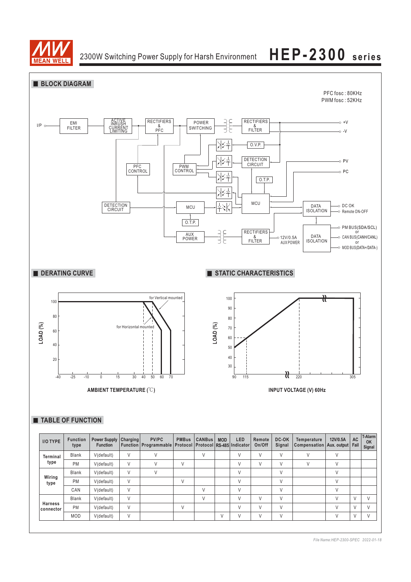

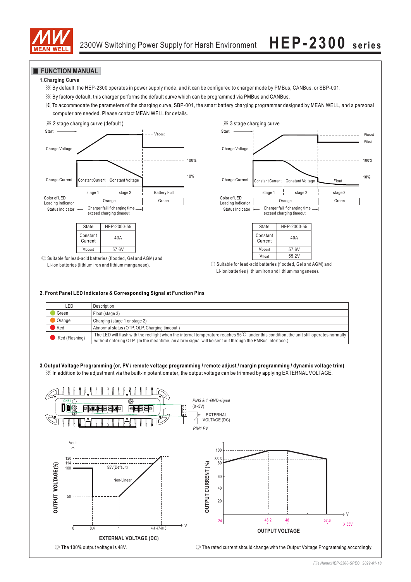

## **FUNCTION MANUAL**

## **1.Charging Curve**

- ※ By default, the HEP-2300 operates in power supply mode, and it can be configured to charger mode by PMBus, CANBus, or SBP-001.
- ※ By factory default, this charger performs the default curve which can be programmed via PMBus and CANBus.
- ※ To accommodate the parameters of the charging curve, SBP-001, the smart battery charging programmer designed by MEAN WELL, and a personal computer are needed. Please contact MEAN WELL for details.



Li-ion batteries (lithium iron and lithium manganese).

## **2. Front Panel LED Indicators & Corresponding Signal at Function Pins**

| LED                | Description                                                                                                                                                                                                                                                         |
|--------------------|---------------------------------------------------------------------------------------------------------------------------------------------------------------------------------------------------------------------------------------------------------------------|
| Green              | Float (stage 3)                                                                                                                                                                                                                                                     |
| Orange             | Charging (stage 1 or stage 2)                                                                                                                                                                                                                                       |
| $\blacksquare$ Red | Abnormal status (OTP, OLP, Charging timeout.)                                                                                                                                                                                                                       |
| Red (Flashing)     | The LED will flash with the red light when the internal temperature reaches $95^{\circ}$ ; under this condition, the unit still operates normally $\vert$<br>without entering OTP. (In the meantime, an alarm signal will be sent out through the PMBus interface.) |

※ In addition to the adjustment via the built-in potentiometer, the output voltage can be trimmed by applying EXTERNAL VOLTAGE. **3.Output Voltage Programming (or, PV / remote voltage programming / remote adjust / margin programming / dynamic voltage trim)**

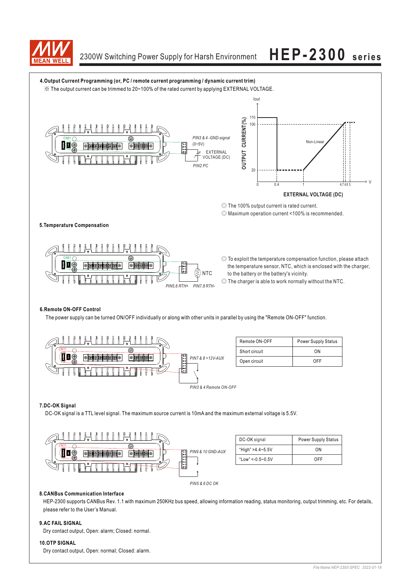



# **9.AC FAIL SIGNAL**

Dry contact output, Open: alarm; Closed: normal.

### **10.OTP SIGNAL**

Dry contact output, Open: normal; Closed: alarm.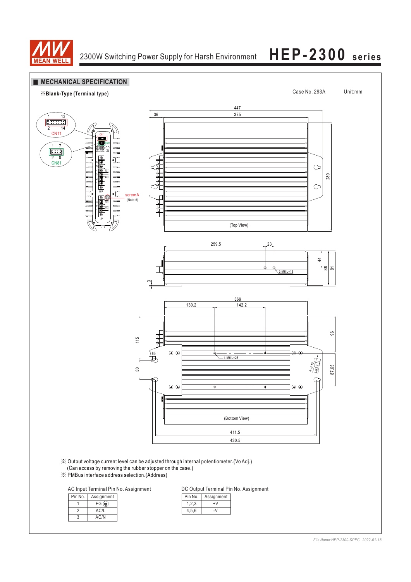

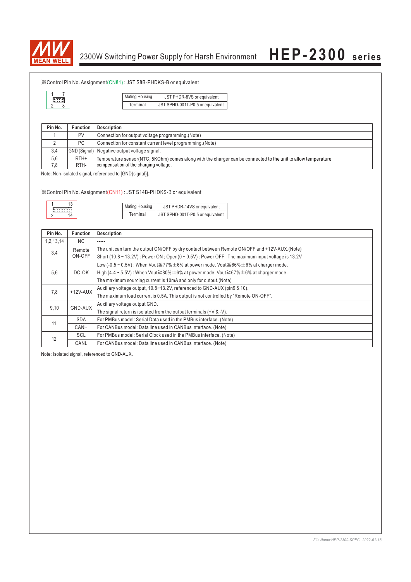

## ※Control Pin No. Assignment(CN81): JST S8B-PHDKS-B or equivalent

| 推言語 | Mating Housing | JST PHDR-8VS or equivalent       |  |
|-----|----------------|----------------------------------|--|
|     | Terminal       | JST SPHD-001T-P0.5 or equivalent |  |

| Pin No. | <b>Function</b> | <b>Description</b>                                                                                            |
|---------|-----------------|---------------------------------------------------------------------------------------------------------------|
|         | PV              | Connection for output voltage programming. (Note)                                                             |
|         | <b>PC</b>       | Connection for constant current level programming. (Note)                                                     |
| 3,4     |                 | GND (Signal) Negative output voltage signal.                                                                  |
| 5,6     | RTH+            | Temperature sensor(NTC, 5KOhm) comes along with the charger can be connected to the unit to allow temperature |
| 7,8     | RTH-            | compensation of the charging voltage.                                                                         |

Note: Non-isolated signal, referenced to [GND(signal)].

## ※Control Pin No. Assignment(CN11): JST S14B-PHDKS-B or equivalent

| 6111111 | Mating Housing | JST PHDR-14VS or equivalent      |
|---------|----------------|----------------------------------|
|         | Terminal       | JST SPHD-001T-P0.5 or equivalent |

| Pin No.      | <b>Function</b> | <b>Description</b>                                                                                        |
|--------------|-----------------|-----------------------------------------------------------------------------------------------------------|
| 1, 2, 13, 14 | NC.             | -----                                                                                                     |
| 3,4          | Remote          | The unit can turn the output ON/OFF by dry contact between Remote ON/OFF and +12V-AUX.(Note)              |
|              | ON-OFF          | Short (10.8 ~ 13.2V): Power ON; Open( $0 \sim 0.5$ V): Power OFF; The maximum input voltage is 13.2V      |
|              |                 | Low (-0.5 ~ 0.5V): When Vout $\leq$ 77% $\pm$ 6% at power mode. Vout $\leq$ 66% $\pm$ 6% at charger mode. |
| 5,6          | DC-OK           | High (4.4 ~ 5.5V): When Vout $\geq$ 80% $\pm$ 6% at power mode. Vout $\geq$ 67% $\pm$ 6% at charger mode. |
|              |                 | The maximum sourcing current is 10mA and only for output. (Note)                                          |
| 7,8          | $+12V-AUX$      | Auxiliary voltage output, 10.8~13.2V, referenced to GND-AUX (pin9 & 10).                                  |
|              |                 | The maximum load current is 0.5A. This output is not controlled by "Remote ON-OFF".                       |
| 9,10         | GND-AUX         | Auxiliary voltage output GND.                                                                             |
|              |                 | The signal return is isolated from the output terminals $(+V & -V)$ .                                     |
| 11           | SDA             | For PMBus model: Serial Data used in the PMBus interface. (Note)                                          |
|              | CANH            | For CANBus model: Data line used in CANBus interface. (Note)                                              |
| 12           | <b>SCL</b>      | For PMBus model: Serial Clock used in the PMBus interface. (Note)                                         |
|              | CANL            | For CANBus model: Data line used in CANBus interface. (Note)                                              |

Note: Isolated signal, referenced to GND-AUX.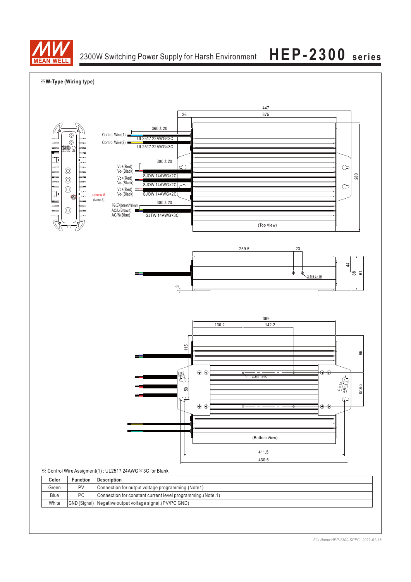

※**W-Type (Wiring type)**

2300W Switching Power Supply for Harsh Environment  $HEP-2300$  series

447 36 375  $360 + 20$ Control Wire(1)  $\circledcirc$ UL2517 22AWG×3C Control Wire(2) UL2517 22AWG×3C 00 C M  $300 = 20$  $\subset$ Vo+(Red) Vo-(Black)  $\circledcirc$ SJOW 14AWG×2C 280  $\circledcirc$ Vo+(Red) Vo-(Black) SJOW 14AWG×2C  $\circlearrowright$  $\circledcirc$ Vo+(Red) Vo-(Black) SJOW 14AWG×2C J screw A (Note.6) $300 + 20$ FG (Green/Yellow)  $\circledcirc$ AC/L(Brown) AC/N(Blue) SJTW 14AWG×3C (Top View) 259.5 23  $\sharp$ 88 ଚ 2-M6 L=15 ო 369 130.2 142.2 115 96  $\circledast$  $\circledast$ 8 9.5 4-M6 L=25  $4/3$ 87.65 4-R3.4 50 4  $\circledcirc$  $\bigoplus$   $\bigoplus$ Г (Bottom View) 411.5 430.5  $\%$  Control Wire Assigment(1): UL2517 24AWG $\times$ 3C for Blank **Color Function Description** Green PV Connection for output voltage programming.(Note1) PV Blue PC Connection for constant current level programming. (Note.1)  $\overline{PC}$ **White** GND (Signal) Negative output voltage signal.(PV/PC GND)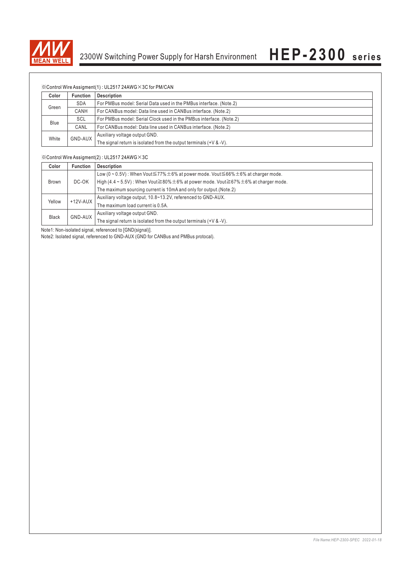

## $\%$  Control Wire Assigment(1): UL2517 24AWG $\times$ 3C for PM/CAN

| Color | <b>Function</b> | <b>Description</b>                                                           |
|-------|-----------------|------------------------------------------------------------------------------|
| Green | SDA             | For PMBus model: Serial Data used in the PMBus interface. (Note.2)           |
|       | CANH            | For CANBus model: Data line used in CANBus interface. (Note.2)               |
| Blue  | SCL             | For PMBus model: Serial Clock used in the PMBus interface. (Note.2)          |
|       | CANL            | For CANBus model: Data line used in CANBus interface. (Note.2)               |
| White | GND-AUX         | Auxiliary voltage output GND.                                                |
|       |                 | The signal return is isolated from the output terminals $(+\vee \& -\vee)$ . |

## $\&$  Control Wire Assigment(2): UL2517 24AWG $\times$ 3C

| Color        | <b>Function</b> | <b>Description</b>                                                                                                      |
|--------------|-----------------|-------------------------------------------------------------------------------------------------------------------------|
|              |                 | Low $(0 \sim 0.5V)$ : When Vout $\leq$ 77% $\pm$ 6% at power mode. Vout $\leq$ 66% $\pm$ 6% at charger mode.            |
| <b>Brown</b> | DC-OK           | High $(4.4 \sim 5.5 \text{V})$ : When Vout $\geq 80\% \pm 6\%$ at power mode. Vout $\geq 67\% \pm 6\%$ at charger mode. |
|              |                 | The maximum sourcing current is 10mA and only for output. (Note.2)                                                      |
| Yellow       | $+12V-AUX$      | Auxiliary voltage output, 10.8~13.2V, referenced to GND-AUX.                                                            |
|              |                 | The maximum load current is 0.5A.                                                                                       |
| <b>Black</b> | GND-AUX         | Auxiliary voltage output GND.                                                                                           |
|              |                 | The signal return is isolated from the output terminals $(+V & -V)$ .                                                   |

Note1: Non-isolated signal, referenced to [GND(signal)].

Note2: Isolated signal, referenced to GND-AUX (GND for CANBus and PMBus protocal).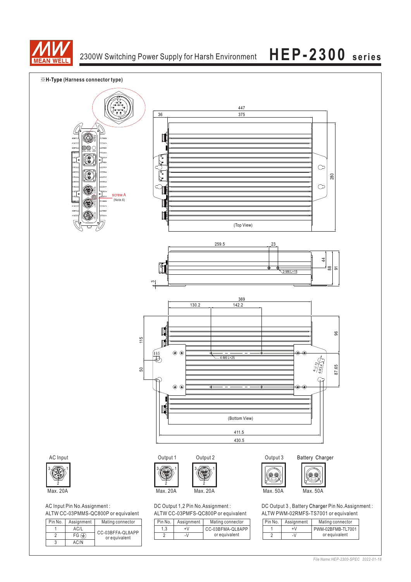

3

 $AC/N$ 

2300W Switching Power Supply for Harsh Environment  $HEP-2300$  series

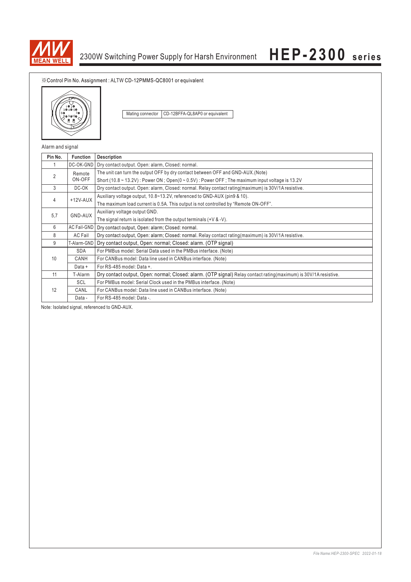

※Control Pin No. Assignment : ALTW CD-12PMMS-QC8001 or equivalent



Mating connector CD-12BFFA-QL8AP0 or equivalent

## Alarm and signal

| Pin No.        | <b>Function</b> | <b>Description</b>                                                                                               |
|----------------|-----------------|------------------------------------------------------------------------------------------------------------------|
|                | DC-OK-GND       | Dry contact output. Open: alarm, Closed: normal.                                                                 |
| $\overline{2}$ | Remote          | The unit can turn the output OFF by dry contact between OFF and GND-AUX. (Note)                                  |
|                | ON-OFF          | Short (10.8 ~ 13.2V) : Power ON ; Open( $0 \sim 0.5$ V) : Power OFF ; The maximum input voltage is 13.2V         |
| 3              | DC-OK           | Dry contact output. Open: alarm, Closed: normal. Relay contact rating (maximum) is 30V/1A resistive.             |
| 4              | $+12V-AUX$      | Auxiliary voltage output, 10.8~13.2V, referenced to GND-AUX (pin9 & 10).                                         |
|                |                 | The maximum load current is 0.5A. This output is not controlled by "Remote ON-OFF".                              |
| 5.7            |                 | Auxiliary voltage output GND.                                                                                    |
|                | GND-AUX         | The signal return is isolated from the output terminals $(+V & -V)$ .                                            |
| 6              | AC Fail-GND     | Dry contact output, Open: alarm; Closed: normal.                                                                 |
| 8              | AC Fail         | Dry contact output, Open: alarm; Closed: normal. Relay contact rating (maximum) is 30V/1A resistive.             |
| 9              | T-Alarm-GND     | Dry contact output, Open: normal; Closed: alarm. (OTP signal)                                                    |
|                | <b>SDA</b>      | For PMBus model: Serial Data used in the PMBus interface. (Note)                                                 |
| 10             | CANH            | For CANBus model: Data line used in CANBus interface. (Note)                                                     |
|                | Data +          | For RS-485 model: Data +.                                                                                        |
| 11             | T-Alarm         | Dry contact output, Open: normal; Closed: alarm. (OTP signal) Relay contact rating(maximum) is 30V/1A resistive. |
|                | <b>SCL</b>      | For PMBus model: Serial Clock used in the PMBus interface. (Note)                                                |
| 12             | CANL            | For CANBus model: Data line used in CANBus interface. (Note)                                                     |
|                | Data -          | For RS-485 model: Data -.                                                                                        |

Note: Isolated signal, referenced to GND-AUX.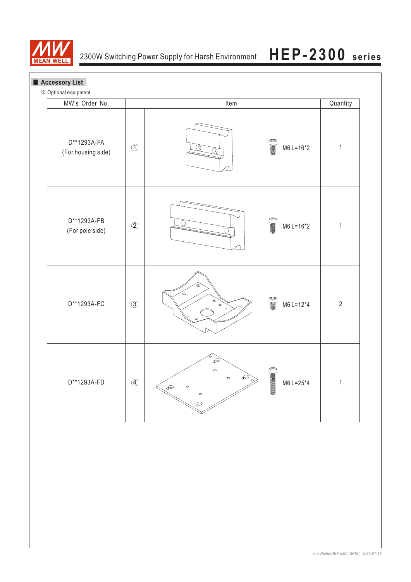

| ※ Optional equipment<br>MW's Order No. |               | Item                                   |                                                                                                                                                                                                                                                                                                                                                                  | Quantity       |
|----------------------------------------|---------------|----------------------------------------|------------------------------------------------------------------------------------------------------------------------------------------------------------------------------------------------------------------------------------------------------------------------------------------------------------------------------------------------------------------|----------------|
| D**1293A-FA<br>(For housing side)      | $\bigcirc$    |                                        | $\begin{picture}(20,20) \put(0,0){\line(1,0){10}} \put(15,0){\line(1,0){10}} \put(15,0){\line(1,0){10}} \put(15,0){\line(1,0){10}} \put(15,0){\line(1,0){10}} \put(15,0){\line(1,0){10}} \put(15,0){\line(1,0){10}} \put(15,0){\line(1,0){10}} \put(15,0){\line(1,0){10}} \put(15,0){\line(1,0){10}} \put(15,0){\line(1,0){10}} \put(15,0){\line(1$<br>M6 L=16*2 | $\mathbf{1}$   |
| D**1293A-FB<br>(For pole side)         | $\circled{2}$ |                                        | $\mathbb{C}$<br>$M6 L = 16*2$                                                                                                                                                                                                                                                                                                                                    | $\mathbf{1}$   |
| D**1293A-FC                            | $\circled{3}$ | ó<br>$\bullet$<br>$\bullet$<br>$\circ$ | <b>and</b><br>M6 L=12*4                                                                                                                                                                                                                                                                                                                                          | $\overline{2}$ |
| D**1293A-FD                            | $\circled{4}$ | €<br>$\circ$<br>€<br>$\bullet$<br>ଙ    | <b>MANAGERIA S</b><br>M6 L=25*4                                                                                                                                                                                                                                                                                                                                  | $\mathbf{1}$   |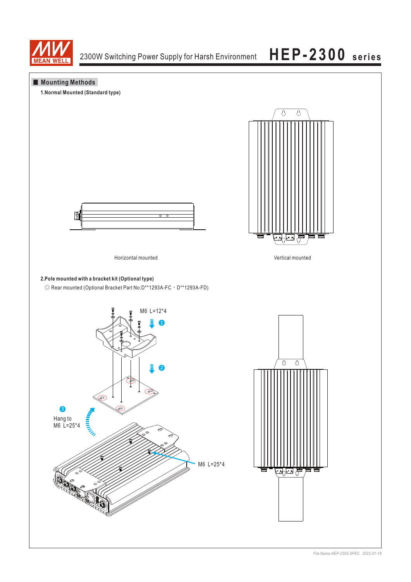